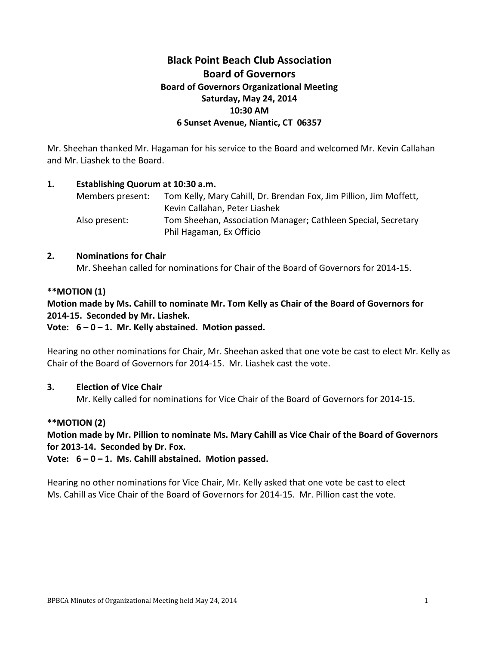# **Black Point Beach Club Association Board of Governors Board of Governors Organizational Meeting Saturday, May 24, 2014 10:30 AM 6 Sunset Avenue, Niantic, CT 06357**

Mr. Sheehan thanked Mr. Hagaman for his service to the Board and welcomed Mr. Kevin Callahan and Mr. Liashek to the Board.

### **1. Establishing Quorum at 10:30 a.m.**

| Members present: | Tom Kelly, Mary Cahill, Dr. Brendan Fox, Jim Pillion, Jim Moffett, |
|------------------|--------------------------------------------------------------------|
|                  | Kevin Callahan, Peter Liashek                                      |
| Also present:    | Tom Sheehan, Association Manager; Cathleen Special, Secretary      |
|                  | Phil Hagaman, Ex Officio                                           |

#### **2. Nominations for Chair**

Mr. Sheehan called for nominations for Chair of the Board of Governors for 2014-15.

# **\*\*MOTION (1)**

# **Motion made by Ms. Cahill to nominate Mr. Tom Kelly as Chair of the Board of Governors for 2014-15. Seconded by Mr. Liashek.**

# **Vote: 6 – 0 – 1. Mr. Kelly abstained. Motion passed.**

Hearing no other nominations for Chair, Mr. Sheehan asked that one vote be cast to elect Mr. Kelly as Chair of the Board of Governors for 2014-15. Mr. Liashek cast the vote.

# **3. Election of Vice Chair**

Mr. Kelly called for nominations for Vice Chair of the Board of Governors for 2014-15.

# **\*\*MOTION (2)**

**Motion made by Mr. Pillion to nominate Ms. Mary Cahill as Vice Chair of the Board of Governors for 2013-14. Seconded by Dr. Fox.**

**Vote: 6 – 0 – 1. Ms. Cahill abstained. Motion passed.**

Hearing no other nominations for Vice Chair, Mr. Kelly asked that one vote be cast to elect Ms. Cahill as Vice Chair of the Board of Governors for 2014-15. Mr. Pillion cast the vote.